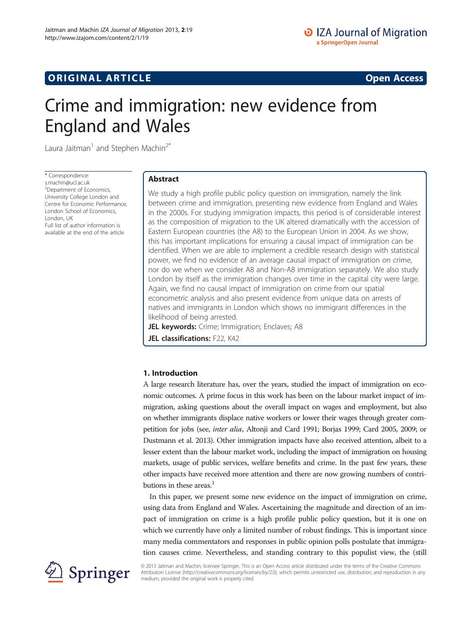# **ORIGINAL ARTICLE CONSERVANCE IN A LOCAL CONSERVANCE IN A LOCAL CONSERVANCE IN A LOCAL CONSERVANCE IN A LOCAL CONSERVANCE IN A LOCAL CONSERVANCE IN A LOCAL CONSERVANCE IN A LOCAL CONSERVANCE IN A LOCAL CONSERVANCE IN A L**

# Crime and immigration: new evidence from England and Wales

Laura Jaitman<sup>1</sup> and Stephen Machin<sup>2\*</sup>

\* Correspondence:

s.machin@ucl.ac.uk <sup>2</sup>Department of Economics, University College London and Centre for Economic Performance, London School of Economics, London, UK Full list of author information is available at the end of the article

# Abstract

We study a high profile public policy question on immigration, namely the link between crime and immigration, presenting new evidence from England and Wales in the 2000s. For studying immigration impacts, this period is of considerable interest as the composition of migration to the UK altered dramatically with the accession of Eastern European countries (the A8) to the European Union in 2004. As we show, this has important implications for ensuring a causal impact of immigration can be identified. When we are able to implement a credible research design with statistical power, we find no evidence of an average causal impact of immigration on crime, nor do we when we consider A8 and Non-A8 immigration separately. We also study London by itself as the immigration changes over time in the capital city were large. Again, we find no causal impact of immigration on crime from our spatial econometric analysis and also present evidence from unique data on arrests of natives and immigrants in London which shows no immigrant differences in the likelihood of being arrested.

JEL keywords: Crime; Immigration; Enclaves; A8

JEL classifications: F22, K42

# 1. Introduction

A large research literature has, over the years, studied the impact of immigration on economic outcomes. A prime focus in this work has been on the labour market impact of immigration, asking questions about the overall impact on wages and employment, but also on whether immigrants displace native workers or lower their wages through greater competition for jobs (see, inter alia, Altonji and Card [1991;](#page-22-0) Borjas [1999](#page-22-0); Card [2005](#page-22-0), [2009;](#page-22-0) or Dustmann et al. [2013\)](#page-22-0). Other immigration impacts have also received attention, albeit to a lesser extent than the labour market work, including the impact of immigration on housing markets, usage of public services, welfare benefits and crime. In the past few years, these other impacts have received more attention and there are now growing numbers of contributions in these areas. $<sup>1</sup>$ </sup>

In this paper, we present some new evidence on the impact of immigration on crime, using data from England and Wales. Ascertaining the magnitude and direction of an impact of immigration on crime is a high profile public policy question, but it is one on which we currently have only a limited number of robust findings. This is important since many media commentators and responses in public opinion polls postulate that immigration causes crime. Nevertheless, and standing contrary to this populist view, the (still



© 2013 Jaitman and Machin; licensee Springer. This is an Open Access article distributed under the terms of the Creative Commons Attribution License [\(http://creativecommons.org/licenses/by/2.0\)](http://creativecommons.org/licenses/by/2.0), which permits unrestricted use, distribution, and reproduction in any medium, provided the original work is properly cited.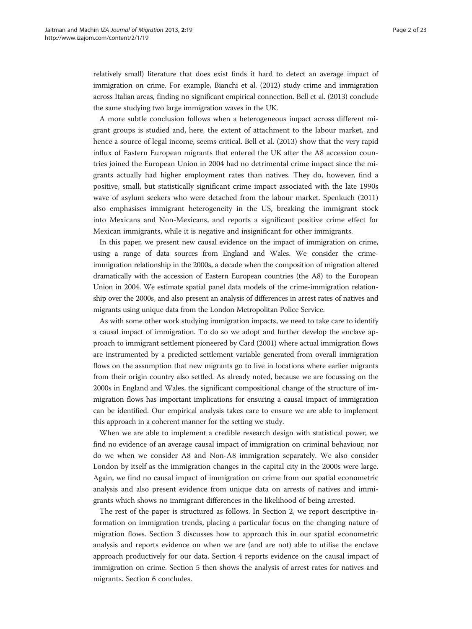relatively small) literature that does exist finds it hard to detect an average impact of immigration on crime. For example, Bianchi et al. [\(2012\)](#page-22-0) study crime and immigration across Italian areas, finding no significant empirical connection. Bell et al. [\(2013\)](#page-22-0) conclude the same studying two large immigration waves in the UK.

A more subtle conclusion follows when a heterogeneous impact across different migrant groups is studied and, here, the extent of attachment to the labour market, and hence a source of legal income, seems critical. Bell et al. [\(2013](#page-22-0)) show that the very rapid influx of Eastern European migrants that entered the UK after the A8 accession countries joined the European Union in 2004 had no detrimental crime impact since the migrants actually had higher employment rates than natives. They do, however, find a positive, small, but statistically significant crime impact associated with the late 1990s wave of asylum seekers who were detached from the labour market. Spenkuch ([2011](#page-22-0)) also emphasises immigrant heterogeneity in the US, breaking the immigrant stock into Mexicans and Non-Mexicans, and reports a significant positive crime effect for Mexican immigrants, while it is negative and insignificant for other immigrants.

In this paper, we present new causal evidence on the impact of immigration on crime, using a range of data sources from England and Wales. We consider the crimeimmigration relationship in the 2000s, a decade when the composition of migration altered dramatically with the accession of Eastern European countries (the A8) to the European Union in 2004. We estimate spatial panel data models of the crime-immigration relationship over the 2000s, and also present an analysis of differences in arrest rates of natives and migrants using unique data from the London Metropolitan Police Service.

As with some other work studying immigration impacts, we need to take care to identify a causal impact of immigration. To do so we adopt and further develop the enclave approach to immigrant settlement pioneered by Card ([2001](#page-22-0)) where actual immigration flows are instrumented by a predicted settlement variable generated from overall immigration flows on the assumption that new migrants go to live in locations where earlier migrants from their origin country also settled. As already noted, because we are focussing on the 2000s in England and Wales, the significant compositional change of the structure of immigration flows has important implications for ensuring a causal impact of immigration can be identified. Our empirical analysis takes care to ensure we are able to implement this approach in a coherent manner for the setting we study.

When we are able to implement a credible research design with statistical power, we find no evidence of an average causal impact of immigration on criminal behaviour, nor do we when we consider A8 and Non-A8 immigration separately. We also consider London by itself as the immigration changes in the capital city in the 2000s were large. Again, we find no causal impact of immigration on crime from our spatial econometric analysis and also present evidence from unique data on arrests of natives and immigrants which shows no immigrant differences in the likelihood of being arrested.

The rest of the paper is structured as follows. In Section [2,](#page-2-0) we report descriptive information on immigration trends, placing a particular focus on the changing nature of migration flows. Section [3](#page-3-0) discusses how to approach this in our spatial econometric analysis and reports evidence on when we are (and are not) able to utilise the enclave approach productively for our data. Section [4](#page-7-0) reports evidence on the causal impact of immigration on crime. Section [5](#page-14-0) then shows the analysis of arrest rates for natives and migrants. Section [6](#page-16-0) concludes.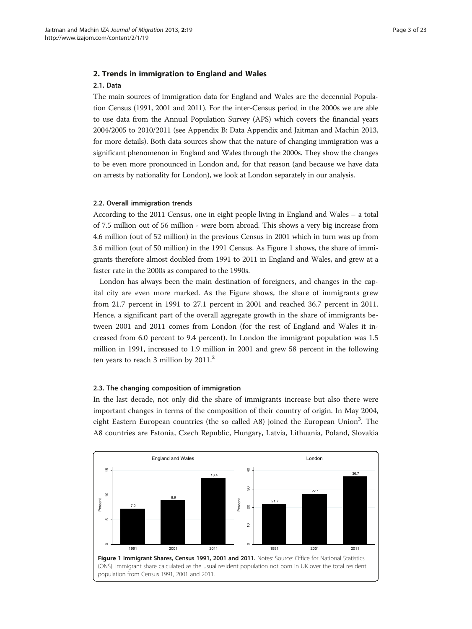# <span id="page-2-0"></span>2. Trends in immigration to England and Wales

#### 2.1. Data

The main sources of immigration data for England and Wales are the decennial Population Census (1991, 2001 and 2011). For the inter-Census period in the 2000s we are able to use data from the Annual Population Survey (APS) which covers the financial years 2004/2005 to 2010/2011 (see [Appendix B: Data Appendix](#page-20-0) and Jaitman and Machin [2013](#page-22-0), for more details). Both data sources show that the nature of changing immigration was a significant phenomenon in England and Wales through the 2000s. They show the changes to be even more pronounced in London and, for that reason (and because we have data on arrests by nationality for London), we look at London separately in our analysis.

#### 2.2. Overall immigration trends

According to the 2011 Census, one in eight people living in England and Wales – a total of 7.5 million out of 56 million - were born abroad. This shows a very big increase from 4.6 million (out of 52 million) in the previous Census in 2001 which in turn was up from 3.6 million (out of 50 million) in the 1991 Census. As Figure 1 shows, the share of immigrants therefore almost doubled from 1991 to 2011 in England and Wales, and grew at a faster rate in the 2000s as compared to the 1990s.

London has always been the main destination of foreigners, and changes in the capital city are even more marked. As the Figure shows, the share of immigrants grew from 21.7 percent in 1991 to 27.1 percent in 2001 and reached 36.7 percent in 2011. Hence, a significant part of the overall aggregate growth in the share of immigrants between 2001 and 2011 comes from London (for the rest of England and Wales it increased from 6.0 percent to 9.4 percent). In London the immigrant population was 1.5 million in 1991, increased to 1.9 million in 2001 and grew 58 percent in the following ten years to reach 3 million by  $2011<sup>2</sup>$ 

## 2.3. The changing composition of immigration

In the last decade, not only did the share of immigrants increase but also there were important changes in terms of the composition of their country of origin. In May 2004, eight Eastern European countries (the so called A8) joined the European Union<sup>3</sup>. The A8 countries are Estonia, Czech Republic, Hungary, Latvia, Lithuania, Poland, Slovakia

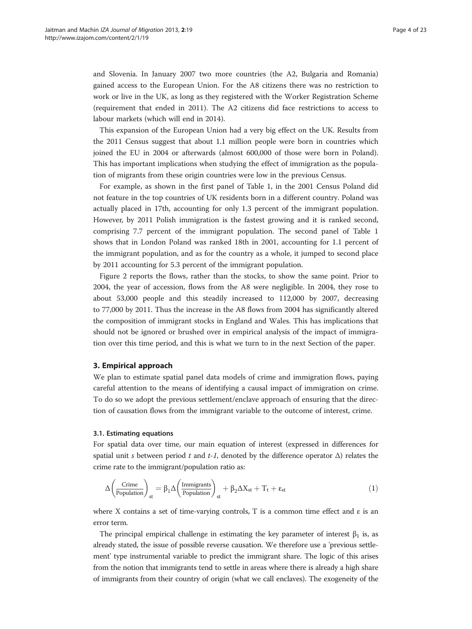<span id="page-3-0"></span>and Slovenia. In January 2007 two more countries (the A2, Bulgaria and Romania) gained access to the European Union. For the A8 citizens there was no restriction to work or live in the UK, as long as they registered with the Worker Registration Scheme (requirement that ended in 2011). The A2 citizens did face restrictions to access to labour markets (which will end in 2014).

This expansion of the European Union had a very big effect on the UK. Results from the 2011 Census suggest that about 1.1 million people were born in countries which joined the EU in 2004 or afterwards (almost 600,000 of those were born in Poland). This has important implications when studying the effect of immigration as the population of migrants from these origin countries were low in the previous Census.

For example, as shown in the first panel of Table [1,](#page-4-0) in the 2001 Census Poland did not feature in the top countries of UK residents born in a different country. Poland was actually placed in 17th, accounting for only 1.3 percent of the immigrant population. However, by 2011 Polish immigration is the fastest growing and it is ranked second, comprising 7.7 percent of the immigrant population. The second panel of Table [1](#page-4-0) shows that in London Poland was ranked 18th in 2001, accounting for 1.1 percent of the immigrant population, and as for the country as a whole, it jumped to second place by 2011 accounting for 5.3 percent of the immigrant population.

Figure [2](#page-5-0) reports the flows, rather than the stocks, to show the same point. Prior to 2004, the year of accession, flows from the A8 were negligible. In 2004, they rose to about 53,000 people and this steadily increased to 112,000 by 2007, decreasing to 77,000 by 2011. Thus the increase in the A8 flows from 2004 has significantly altered the composition of immigrant stocks in England and Wales. This has implications that should not be ignored or brushed over in empirical analysis of the impact of immigration over this time period, and this is what we turn to in the next Section of the paper.

#### 3. Empirical approach

We plan to estimate spatial panel data models of crime and immigration flows, paying careful attention to the means of identifying a causal impact of immigration on crime. To do so we adopt the previous settlement/enclave approach of ensuring that the direction of causation flows from the immigrant variable to the outcome of interest, crime.

#### 3.1. Estimating equations

For spatial data over time, our main equation of interest (expressed in differences for spatial unit s between period t and t-1, denoted by the difference operator  $\Delta$ ) relates the crime rate to the immigrant/population ratio as:

$$
\Delta \left( \frac{\text{Crime}}{\text{Population}} \right)_{st} = \beta_1 \Delta \left( \frac{\text{Immigrants}}{\text{Population}} \right)_{st} + \beta_2 \Delta X_{st} + T_t + \epsilon_{st} \tag{1}
$$

where X contains a set of time-varying controls, T is a common time effect and  $\varepsilon$  is an error term.

The principal empirical challenge in estimating the key parameter of interest  $\beta_1$  is, as already stated, the issue of possible reverse causation. We therefore use a 'previous settlement' type instrumental variable to predict the immigrant share. The logic of this arises from the notion that immigrants tend to settle in areas where there is already a high share of immigrants from their country of origin (what we call enclaves). The exogeneity of the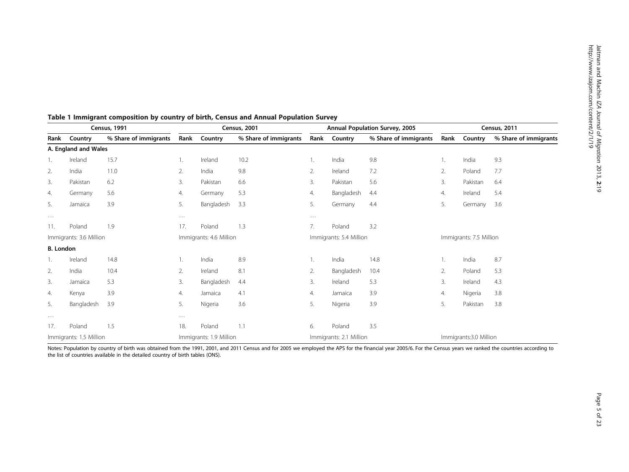| <b>Census, 1991</b> |                         | <b>Census, 2001</b>   |                | <b>Annual Population Survey, 2005</b> |                       |                         | <b>Census, 2011</b>     |                       |                         |                         |                       |
|---------------------|-------------------------|-----------------------|----------------|---------------------------------------|-----------------------|-------------------------|-------------------------|-----------------------|-------------------------|-------------------------|-----------------------|
| Rank                | Country                 | % Share of immigrants | Rank           | Country                               | % Share of immigrants | Rank                    | Country                 | % Share of immigrants | Rank                    | Country                 | % Share of immigrants |
|                     | A. England and Wales    |                       |                |                                       |                       |                         |                         |                       |                         |                         |                       |
| 1.                  | Ireland                 | 15.7                  | 1.             | Ireland                               | 10.2                  | 1.                      | India                   | 9.8                   | 1.                      | India                   | 9.3                   |
| 2.                  | India                   | 11.0                  | 2.             | India                                 | 9.8                   | 2.                      | Ireland                 | 7.2                   | 2.                      | Poland                  | 7.7                   |
| 3.                  | Pakistan                | 6.2                   | 3.             | Pakistan                              | 6.6                   | 3.                      | Pakistan                | 5.6                   | 3.                      | Pakistan                | 6.4                   |
| 4.                  | Germany                 | 5.6                   | 4.             | Germany                               | 5.3                   | 4.                      | Bangladesh              | 4.4                   | 4.                      | Ireland                 | 5.4                   |
| 5.                  | Jamaica                 | 3.9                   | 5.             | Bangladesh                            | 3.3                   | 5.                      | Germany                 | 4.4                   | 5.                      | Germany                 | 3.6                   |
| $\cdots$            |                         |                       | $\cdots$       |                                       |                       | $\cdots$                |                         |                       |                         |                         |                       |
| 11.                 | Poland                  | 1.9                   | 17.            | Poland                                | 1.3                   | 7.                      | Poland                  | 3.2                   |                         |                         |                       |
|                     | Immigrants: 3.6 Million |                       |                | Immigrants: 4.6 Million               |                       | Immigrants: 5.4 Million |                         |                       | Immigrants: 7.5 Million |                         |                       |
| <b>B.</b> London    |                         |                       |                |                                       |                       |                         |                         |                       |                         |                         |                       |
| 1.                  | Ireland                 | 14.8                  | $\mathbf{1}$ . | India                                 | 8.9                   | 1.                      | India                   | 14.8                  | 1.                      | India                   | 8.7                   |
| 2.                  | India                   | 10.4                  | 2.             | Ireland                               | 8.1                   | 2.                      | Bangladesh              | 10.4                  | 2.                      | Poland                  | 5.3                   |
| 3.                  | Jamaica                 | 5.3                   | 3.             | Bangladesh                            | 4.4                   | 3.                      | Ireland                 | 5.3                   | 3.                      | Ireland                 | 4.3                   |
| 4.                  | Kenya                   | 3.9                   | 4.             | Jamaica                               | 4.1                   | 4.                      | Jamaica                 | 3.9                   | 4.                      | Nigeria                 | 3.8                   |
| 5.                  | Bangladesh              | 3.9                   | 5.             | Nigeria                               | 3.6                   | 5.                      | Nigeria                 | 3.9                   | 5.                      | Pakistan                | 3.8                   |
| $\cdots$            |                         |                       | $\cdots$       |                                       |                       |                         |                         |                       |                         |                         |                       |
| 17.                 | Poland                  | 1.5                   | 18.            | Poland                                | 1.1                   | 6.                      | Poland                  | 3.5                   |                         |                         |                       |
|                     | Immigrants: 1.5 Million |                       |                | Immigrants: 1.9 Million               |                       |                         | Immigrants: 2.1 Million |                       |                         | Immigrants: 3.0 Million |                       |

# <span id="page-4-0"></span>Table 1 Immigrant composition by country of birth, Census and Annual Population Survey

Notes: Population by country of birth was obtained from the 1991, 2001, and 2011 Census and for 2005 we employed the APS for the financial year 2005/6. For the Census years we ranked the countries according to the list of countries available in the detailed country of birth tables (ONS).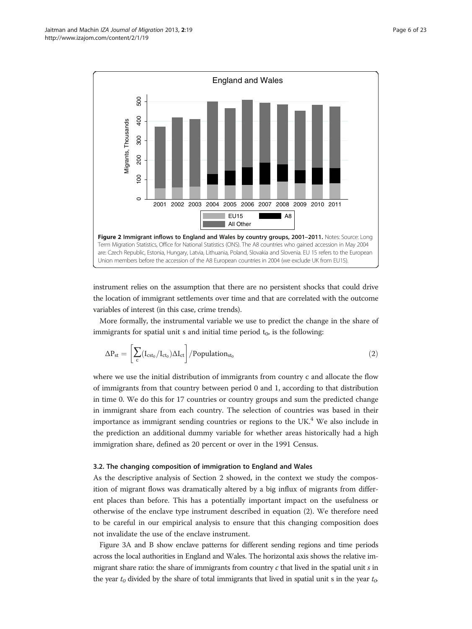<span id="page-5-0"></span>

instrument relies on the assumption that there are no persistent shocks that could drive the location of immigrant settlements over time and that are correlated with the outcome variables of interest (in this case, crime trends).

More formally, the instrumental variable we use to predict the change in the share of immigrants for spatial unit s and initial time period  $t_0$ , is the following:

$$
\Delta P_{st} = \left[ \sum_{c} (I_{cst_0} / I_{ct_0}) \Delta I_{ct} \right] / Population_{st_0}
$$
\n(2)

where we use the initial distribution of immigrants from country c and allocate the flow of immigrants from that country between period 0 and 1, according to that distribution in time 0. We do this for 17 countries or country groups and sum the predicted change in immigrant share from each country. The selection of countries was based in their importance as immigrant sending countries or regions to the UK.<sup>4</sup> We also include in the prediction an additional dummy variable for whether areas historically had a high immigration share, defined as 20 percent or over in the 1991 Census.

#### 3.2. The changing composition of immigration to England and Wales

As the descriptive analysis of Section [2](#page-2-0) showed, in the context we study the composition of migrant flows was dramatically altered by a big influx of migrants from different places than before. This has a potentially important impact on the usefulness or otherwise of the enclave type instrument described in equation (2). We therefore need to be careful in our empirical analysis to ensure that this changing composition does not invalidate the use of the enclave instrument.

Figure [3A](#page-6-0) and B show enclave patterns for different sending regions and time periods across the local authorities in England and Wales. The horizontal axis shows the relative immigrant share ratio: the share of immigrants from country  $c$  that lived in the spatial unit  $s$  in the year  $t_0$  divided by the share of total immigrants that lived in spatial unit s in the year  $t_0$ .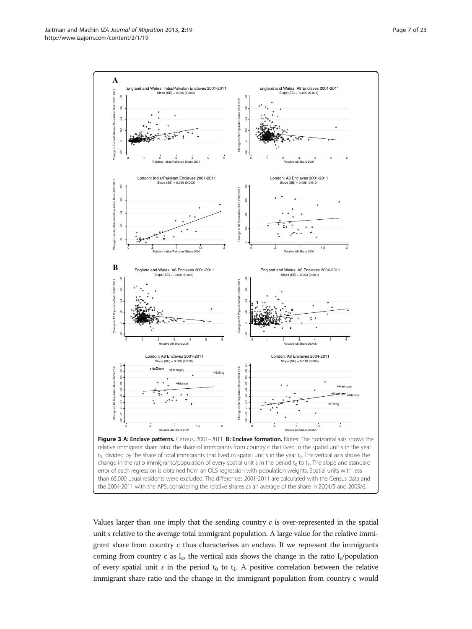<span id="page-6-0"></span>

 $t_0$  divided by the share of total immigrants that lived in spatial unit s in the year  $t_0$ . The vertical axis shows the change in the ratio immigrantc/population of every spatial unit s in the period  $t_0$  to  $t_1$ . The slope and standard error of each regression is obtained from an OLS regression with population weights. Spatial units with less than 65,000 usual residents were excluded. The differences 2001-2011 are calculated with the Census data and the 2004-2011 with the APS, considering the relative shares as an average of the share in 2004/5 and 2005/6.

Values larger than one imply that the sending country  $c$  is over-represented in the spatial unit  $s$  relative to the average total immigrant population. A large value for the relative immigrant share from country c thus characterises an enclave. If we represent the immigrants coming from country c as  $I_c$ , the vertical axis shows the change in the ratio  $I_c$ /population of every spatial unit s in the period  $t_0$  to  $t_1$ . A positive correlation between the relative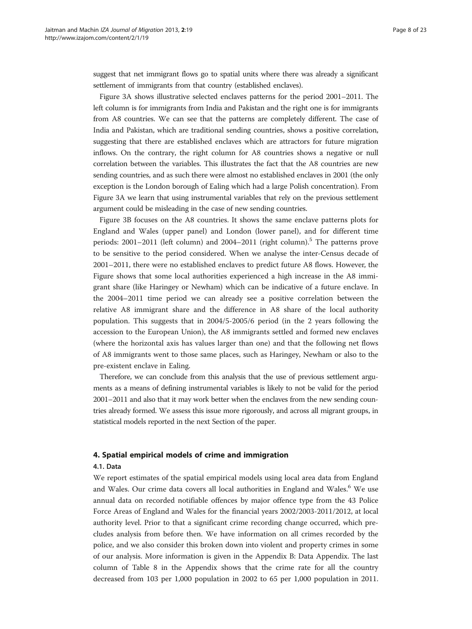<span id="page-7-0"></span>suggest that net immigrant flows go to spatial units where there was already a significant settlement of immigrants from that country (established enclaves).

Figure [3](#page-6-0)A shows illustrative selected enclaves patterns for the period 2001–2011. The left column is for immigrants from India and Pakistan and the right one is for immigrants from A8 countries. We can see that the patterns are completely different. The case of India and Pakistan, which are traditional sending countries, shows a positive correlation, suggesting that there are established enclaves which are attractors for future migration inflows. On the contrary, the right column for A8 countries shows a negative or null correlation between the variables. This illustrates the fact that the A8 countries are new sending countries, and as such there were almost no established enclaves in 2001 (the only exception is the London borough of Ealing which had a large Polish concentration). From Figure [3A](#page-6-0) we learn that using instrumental variables that rely on the previous settlement argument could be misleading in the case of new sending countries.

Figure [3B](#page-6-0) focuses on the A8 countries. It shows the same enclave patterns plots for England and Wales (upper panel) and London (lower panel), and for different time periods: 2001–2011 (left column) and 2004–2011 (right column).<sup>5</sup> The patterns prove to be sensitive to the period considered. When we analyse the inter-Census decade of 2001–2011, there were no established enclaves to predict future A8 flows. However, the Figure shows that some local authorities experienced a high increase in the A8 immigrant share (like Haringey or Newham) which can be indicative of a future enclave. In the 2004–2011 time period we can already see a positive correlation between the relative A8 immigrant share and the difference in A8 share of the local authority population. This suggests that in 2004/5-2005/6 period (in the 2 years following the accession to the European Union), the A8 immigrants settled and formed new enclaves (where the horizontal axis has values larger than one) and that the following net flows of A8 immigrants went to those same places, such as Haringey, Newham or also to the pre-existent enclave in Ealing.

Therefore, we can conclude from this analysis that the use of previous settlement arguments as a means of defining instrumental variables is likely to not be valid for the period 2001–2011 and also that it may work better when the enclaves from the new sending countries already formed. We assess this issue more rigorously, and across all migrant groups, in statistical models reported in the next Section of the paper.

#### 4. Spatial empirical models of crime and immigration

#### 4.1. Data

We report estimates of the spatial empirical models using local area data from England and Wales. Our crime data covers all local authorities in England and Wales.<sup>6</sup> We use annual data on recorded notifiable offences by major offence type from the 43 Police Force Areas of England and Wales for the financial years 2002/2003-2011/2012, at local authority level. Prior to that a significant crime recording change occurred, which precludes analysis from before then. We have information on all crimes recorded by the police, and we also consider this broken down into violent and property crimes in some of our analysis. More information is given in the Appendix B: Data Appendix. The last column of Table 8 in the Appendix shows that the crime rate for all the country decreased from 103 per 1,000 population in 2002 to 65 per 1,000 population in 2011.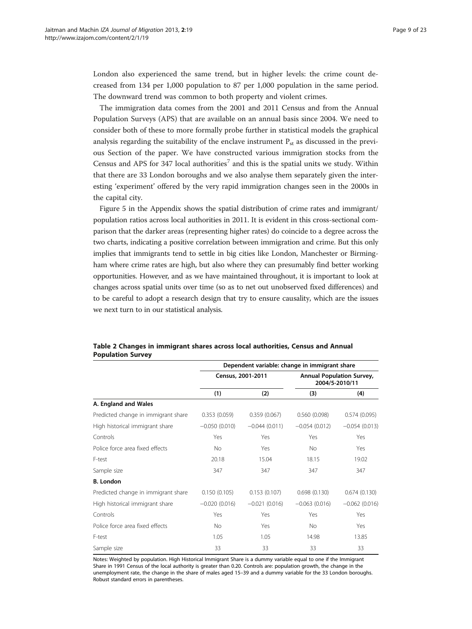<span id="page-8-0"></span>London also experienced the same trend, but in higher levels: the crime count decreased from 134 per 1,000 population to 87 per 1,000 population in the same period. The downward trend was common to both property and violent crimes.

The immigration data comes from the 2001 and 2011 Census and from the Annual Population Surveys (APS) that are available on an annual basis since 2004. We need to consider both of these to more formally probe further in statistical models the graphical analysis regarding the suitability of the enclave instrument  $P_{st}$  as discussed in the previous Section of the paper. We have constructed various immigration stocks from the Census and APS for 347 local authorities<sup>7</sup> and this is the spatial units we study. Within that there are 33 London boroughs and we also analyse them separately given the interesting 'experiment' offered by the very rapid immigration changes seen in the 2000s in the capital city.

Figure 5 in the Appendix shows the spatial distribution of crime rates and immigrant/ population ratios across local authorities in 2011. It is evident in this cross-sectional comparison that the darker areas (representing higher rates) do coincide to a degree across the two charts, indicating a positive correlation between immigration and crime. But this only implies that immigrants tend to settle in big cities like London, Manchester or Birmingham where crime rates are high, but also where they can presumably find better working opportunities. However, and as we have maintained throughout, it is important to look at changes across spatial units over time (so as to net out unobserved fixed differences) and to be careful to adopt a research design that try to ensure causality, which are the issues we next turn to in our statistical analysis.

|                                     |                 | Dependent variable: change in immigrant share |                                                    |                 |  |
|-------------------------------------|-----------------|-----------------------------------------------|----------------------------------------------------|-----------------|--|
|                                     |                 | Census, 2001-2011                             | <b>Annual Population Survey,</b><br>2004/5-2010/11 |                 |  |
|                                     | (1)             | (2)                                           | (3)                                                | (4)             |  |
| A. England and Wales                |                 |                                               |                                                    |                 |  |
| Predicted change in immigrant share | 0.353(0.059)    | 0.359(0.067)                                  | 0.560(0.098)                                       | 0.574(0.095)    |  |
| High historical immigrant share     | $-0.050(0.010)$ | $-0.044(0.011)$                               | $-0.054(0.012)$                                    | $-0.054(0.013)$ |  |
| Controls                            | Yes             | Yes                                           | Yes                                                | Yes             |  |
| Police force area fixed effects     | <b>No</b>       | Yes                                           | <b>No</b>                                          | Yes             |  |
| F-test                              | 20.18           | 15.04                                         | 18.15                                              | 19.02           |  |
| Sample size                         | 347             | 347                                           | 347                                                | 347             |  |
| <b>B.</b> London                    |                 |                                               |                                                    |                 |  |
| Predicted change in immigrant share | 0.150(0.105)    | 0.153(0.107)                                  | 0.698(0.130)                                       | 0.674(0.130)    |  |
| High historical immigrant share     | $-0.020(0.016)$ | $-0.021(0.016)$                               | $-0.063(0.016)$                                    | $-0.062(0.016)$ |  |
| Controls                            | Yes             | Yes                                           | Yes                                                | Yes             |  |
| Police force area fixed effects     | N <sub>o</sub>  | Yes                                           | N <sub>o</sub>                                     | Yes             |  |
| F-test                              | 1.05            | 1.05                                          | 14.98                                              | 13.85           |  |
| Sample size                         | 33              | 33                                            | 33                                                 | 33              |  |

#### Table 2 Changes in immigrant shares across local authorities, Census and Annual Population Survey

Notes: Weighted by population. High Historical Immigrant Share is a dummy variable equal to one if the Immigrant Share in 1991 Census of the local authority is greater than 0.20. Controls are: population growth, the change in the unemployment rate, the change in the share of males aged 15–39 and a dummy variable for the 33 London boroughs. Robust standard errors in parentheses.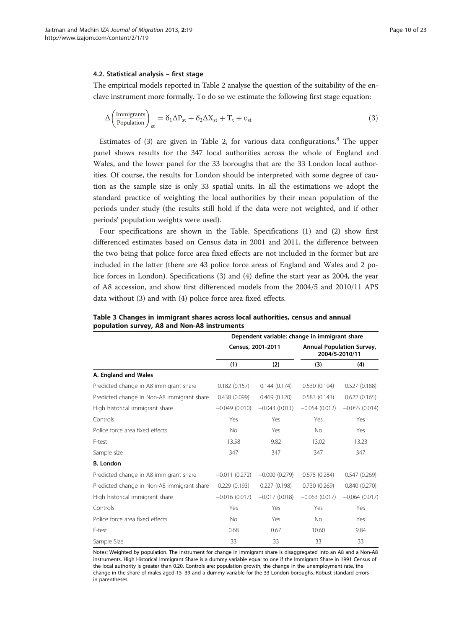#### <span id="page-9-0"></span>4.2. Statistical analysis – first stage

The empirical models reported in Table [2](#page-8-0) analyse the question of the suitability of the enclave instrument more formally. To do so we estimate the following first stage equation:

$$
\Delta \left( \frac{\text{Immigrants}}{\text{Population}} \right)_{st} = \delta_1 \Delta P_{st} + \delta_2 \Delta X_{st} + T_t + \upsilon_{st} \tag{3}
$$

Estimates of  $(3)$  are given in Table [2](#page-8-0), for various data configurations.<sup>8</sup> The upper panel shows results for the 347 local authorities across the whole of England and Wales, and the lower panel for the 33 boroughs that are the 33 London local authorities. Of course, the results for London should be interpreted with some degree of caution as the sample size is only 33 spatial units. In all the estimations we adopt the standard practice of weighting the local authorities by their mean population of the periods under study (the results still hold if the data were not weighted, and if other periods' population weights were used).

Four specifications are shown in the Table. Specifications (1) and (2) show first differenced estimates based on Census data in 2001 and 2011, the difference between the two being that police force area fixed effects are not included in the former but are included in the latter (there are 43 police force areas of England and Wales and 2 police forces in London). Specifications (3) and (4) define the start year as 2004, the year of A8 accession, and show first differenced models from the 2004/5 and 2010/11 APS data without (3) and with (4) police force area fixed effects.

|                                            |                 | Dependent variable: change in immigrant share |                                                    |                 |  |
|--------------------------------------------|-----------------|-----------------------------------------------|----------------------------------------------------|-----------------|--|
|                                            |                 | Census, 2001-2011                             | <b>Annual Population Survey,</b><br>2004/5-2010/11 |                 |  |
|                                            | (1)             | (2)                                           | (3)                                                | (4)             |  |
| A. England and Wales                       |                 |                                               |                                                    |                 |  |
| Predicted change in A8 immigrant share     | 0.182(0.157)    | 0.144(0.174)                                  | 0.530(0.194)                                       | 0.527(0.188)    |  |
| Predicted change in Non-A8 immigrant share | 0.438(0.099)    | 0.469(0.120)                                  | 0.583(0.143)                                       | 0.622(0.165)    |  |
| High historical immigrant share            | $-0.049(0.010)$ | $-0.043(0.011)$                               | $-0.054(0.012)$                                    | $-0.055(0.014)$ |  |
| Controls                                   | Yes             | Yes                                           | Yes                                                | Yes             |  |
| Police force area fixed effects            | No.             | Yes                                           | No.                                                | Yes             |  |
| F-test                                     | 13.58           | 9.82                                          | 13.02                                              | 13.23           |  |
| Sample size                                | 347             | 347                                           | 347                                                | 347             |  |
| <b>B.</b> London                           |                 |                                               |                                                    |                 |  |
| Predicted change in A8 immigrant share     | $-0.011(0.272)$ | $-0.000(0.279)$                               | 0.675(0.284)                                       | 0.547(0.269)    |  |
| Predicted change in Non-A8 immigrant share | 0.229(0.193)    | 0.227(0.198)                                  | 0.730(0.269)                                       | 0.840(0.270)    |  |
| High historical immigrant share            | $-0.016(0.017)$ | $-0.017(0.018)$                               | $-0.063(0.017)$                                    | $-0.064(0.017)$ |  |
| Controls                                   | Yes             | Yes                                           | Yes                                                | Yes             |  |
| Police force area fixed effects            | <b>No</b>       | Yes                                           | <b>No</b>                                          | Yes             |  |
| F-test                                     | 0.68            | 0.67                                          | 10.60                                              | 9.84            |  |
| Sample Size                                | 33              | 33                                            | 33                                                 | 33              |  |

Table 3 Changes in immigrant shares across local authorities, census and annual population survey, A8 and Non-A8 instruments

Notes: Weighted by population. The instrument for change in immigrant share is disaggregated into an A8 and a Non-A8 instruments. High Historical Immigrant Share is a dummy variable equal to one if the Immigrant Share in 1991 Census of the local authority is greater than 0.20. Controls are: population growth, the change in the unemployment rate, the change in the share of males aged 15–39 and a dummy variable for the 33 London boroughs. Robust standard errors in parentheses.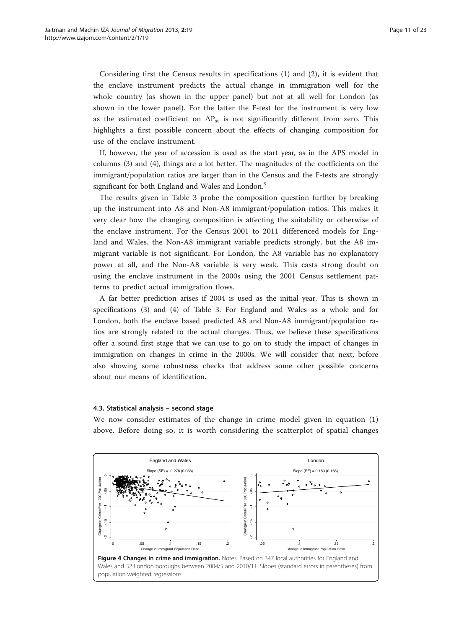<span id="page-10-0"></span>Considering first the Census results in specifications (1) and (2), it is evident that the enclave instrument predicts the actual change in immigration well for the whole country (as shown in the upper panel) but not at all well for London (as shown in the lower panel). For the latter the F-test for the instrument is very low as the estimated coefficient on  $\Delta P_{st}$  is not significantly different from zero. This highlights a first possible concern about the effects of changing composition for use of the enclave instrument.

If, however, the year of accession is used as the start year, as in the APS model in columns (3) and (4), things are a lot better. The magnitudes of the coefficients on the immigrant/population ratios are larger than in the Census and the F-tests are strongly significant for both England and Wales and London.<sup>9</sup>

The results given in Table [3](#page-9-0) probe the composition question further by breaking up the instrument into A8 and Non-A8 immigrant/population ratios. This makes it very clear how the changing composition is affecting the suitability or otherwise of the enclave instrument. For the Census 2001 to 2011 differenced models for England and Wales, the Non-A8 immigrant variable predicts strongly, but the A8 immigrant variable is not significant. For London, the A8 variable has no explanatory power at all, and the Non-A8 variable is very weak. This casts strong doubt on using the enclave instrument in the 2000s using the 2001 Census settlement patterns to predict actual immigration flows.

A far better prediction arises if 2004 is used as the initial year. This is shown in specifications (3) and (4) of Table [3.](#page-9-0) For England and Wales as a whole and for London, both the enclave based predicted A8 and Non-A8 immigrant/population ratios are strongly related to the actual changes. Thus, we believe these specifications offer a sound first stage that we can use to go on to study the impact of changes in immigration on changes in crime in the 2000s. We will consider that next, before also showing some robustness checks that address some other possible concerns about our means of identification.

#### 4.3. Statistical analysis – second stage

We now consider estimates of the change in crime model given in equation [\(1](#page-3-0)) above. Before doing so, it is worth considering the scatterplot of spatial changes

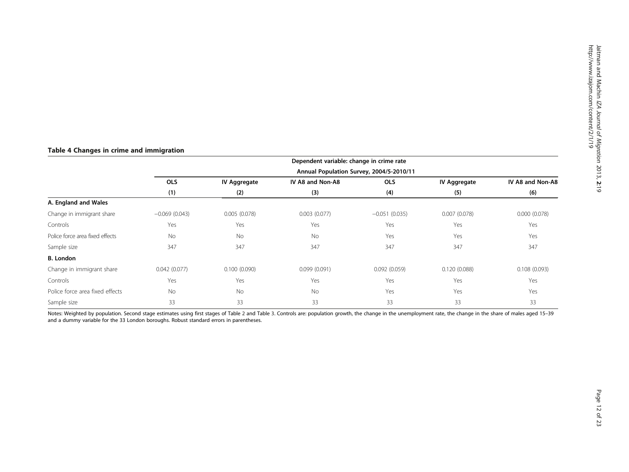# <span id="page-11-0"></span>Table 4 Changes in crime and immigration

|                                 |                 |                                          | Dependent variable: change in crime rate |                 |              |                  |  |  |  |
|---------------------------------|-----------------|------------------------------------------|------------------------------------------|-----------------|--------------|------------------|--|--|--|
|                                 |                 | Annual Population Survey, 2004/5-2010/11 |                                          |                 |              |                  |  |  |  |
|                                 | <b>OLS</b>      | <b>IV Aggregate</b>                      | IV A8 and Non-A8                         | <b>OLS</b>      | IV Aggregate | IV A8 and Non-A8 |  |  |  |
|                                 | (1)             | (2)                                      | (3)                                      | (4)             | (5)          | (6)              |  |  |  |
| A. England and Wales            |                 |                                          |                                          |                 |              |                  |  |  |  |
| Change in immigrant share       | $-0.069(0.043)$ | 0.005(0.078)                             | 0.003(0.077)                             | $-0.051(0.035)$ | 0.007(0.078) | 0.000(0.078)     |  |  |  |
| Controls                        | Yes             | Yes                                      | Yes                                      | Yes             | Yes          | Yes              |  |  |  |
| Police force area fixed effects | No              | No                                       | No                                       | Yes             | Yes          | Yes              |  |  |  |
| Sample size                     | 347             | 347                                      | 347                                      | 347             | 347          | 347              |  |  |  |
| <b>B.</b> London                |                 |                                          |                                          |                 |              |                  |  |  |  |
| Change in immigrant share       | 0.042(0.077)    | 0.100(0.090)                             | 0.099(0.091)                             | 0.092(0.059)    | 0.120(0.088) | 0.108(0.093)     |  |  |  |
| Controls                        | Yes             | Yes                                      | Yes                                      | Yes             | Yes          | Yes              |  |  |  |
| Police force area fixed effects | <b>No</b>       | No                                       | <b>No</b>                                | Yes             | Yes          | Yes              |  |  |  |
| Sample size                     | 33              | 33                                       | 33                                       | 33              | 33           | 33               |  |  |  |

Notes: Weighted by population. Second stage estimates using first stages of Table [2](#page-8-0) and Table [3](#page-9-0). Controls are: population growth, the change in the unemployment rate, the change in the share of males aged 15-39 and a dummy variable for the 33 London boroughs. Robust standard errors in parentheses.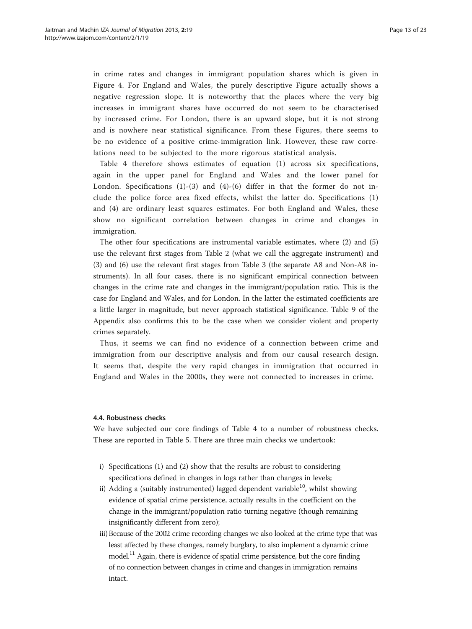in crime rates and changes in immigrant population shares which is given in Figure [4](#page-10-0). For England and Wales, the purely descriptive Figure actually shows a negative regression slope. It is noteworthy that the places where the very big increases in immigrant shares have occurred do not seem to be characterised by increased crime. For London, there is an upward slope, but it is not strong and is nowhere near statistical significance. From these Figures, there seems to be no evidence of a positive crime-immigration link. However, these raw correlations need to be subjected to the more rigorous statistical analysis.

Table [4](#page-11-0) therefore shows estimates of equation ([1](#page-3-0)) across six specifications, again in the upper panel for England and Wales and the lower panel for London. Specifications  $(1)-(3)$  and  $(4)-(6)$  differ in that the former do not include the police force area fixed effects, whilst the latter do. Specifications (1) and (4) are ordinary least squares estimates. For both England and Wales, these show no significant correlation between changes in crime and changes in immigration.

The other four specifications are instrumental variable estimates, where (2) and (5) use the relevant first stages from Table [2](#page-8-0) (what we call the aggregate instrument) and (3) and (6) use the relevant first stages from Table [3](#page-9-0) (the separate A8 and Non-A8 instruments). In all four cases, there is no significant empirical connection between changes in the crime rate and changes in the immigrant/population ratio. This is the case for England and Wales, and for London. In the latter the estimated coefficients are a little larger in magnitude, but never approach statistical significance. Table 9 of the Appendix also confirms this to be the case when we consider violent and property crimes separately.

Thus, it seems we can find no evidence of a connection between crime and immigration from our descriptive analysis and from our causal research design. It seems that, despite the very rapid changes in immigration that occurred in England and Wales in the 2000s, they were not connected to increases in crime.

#### 4.4. Robustness checks

We have subjected our core findings of Table [4](#page-11-0) to a number of robustness checks. These are reported in Table [5.](#page-13-0) There are three main checks we undertook:

- i) Specifications (1) and (2) show that the results are robust to considering specifications defined in changes in logs rather than changes in levels;
- ii) Adding a (suitably instrumented) lagged dependent variable<sup>10</sup>, whilst showing evidence of spatial crime persistence, actually results in the coefficient on the change in the immigrant/population ratio turning negative (though remaining insignificantly different from zero);
- iii) Because of the 2002 crime recording changes we also looked at the crime type that was least affected by these changes, namely burglary, to also implement a dynamic crime model.<sup>11</sup> Again, there is evidence of spatial crime persistence, but the core finding of no connection between changes in crime and changes in immigration remains intact.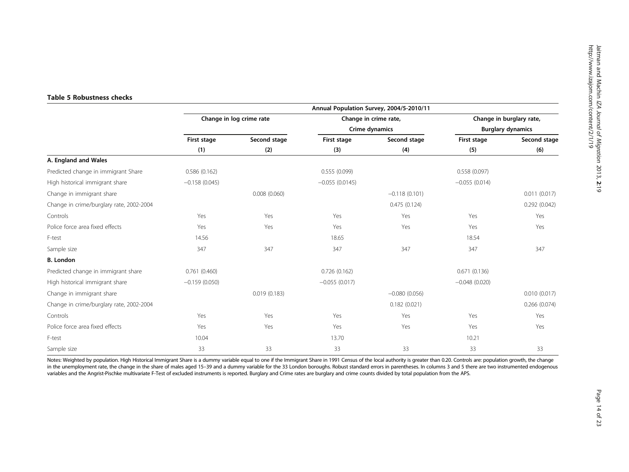#### <span id="page-13-0"></span>Table 5 Robustness checks

|                                          | Annual Population Survey, 2004/5-2010/11 |                          |                  |                       |                 |                          |  |
|------------------------------------------|------------------------------------------|--------------------------|------------------|-----------------------|-----------------|--------------------------|--|
|                                          |                                          | Change in log crime rate |                  | Change in crime rate, |                 | Change in burglary rate, |  |
|                                          |                                          |                          |                  | Crime dynamics        |                 | <b>Burglary dynamics</b> |  |
|                                          | First stage                              | Second stage             | First stage      | Second stage          | First stage     | Second stage             |  |
|                                          | (1)                                      | (2)                      | (3)              | (4)                   | (5)             | (6)                      |  |
| A. England and Wales                     |                                          |                          |                  |                       |                 |                          |  |
| Predicted change in immigrant Share      | 0.586(0.162)                             |                          | 0.555(0.099)     |                       | 0.558(0.097)    |                          |  |
| High historical immigrant share          | $-0.158(0.045)$                          |                          | $-0.055(0.0145)$ |                       | $-0.055(0.014)$ |                          |  |
| Change in immigrant share                |                                          | 0.008(0.060)             |                  | $-0.118(0.101)$       |                 | 0.011(0.017)             |  |
| Change in crime/burglary rate, 2002-2004 |                                          |                          |                  | 0.475(0.124)          |                 | 0.292(0.042)             |  |
| Controls                                 | Yes                                      | Yes                      | Yes              | Yes                   | Yes             | Yes                      |  |
| Police force area fixed effects          | Yes                                      | Yes                      | Yes              | Yes                   | Yes             | Yes                      |  |
| F-test                                   | 14.56                                    |                          | 18.65            |                       | 18.54           |                          |  |
| Sample size                              | 347                                      | 347                      | 347              | 347                   | 347             | 347                      |  |
| <b>B.</b> London                         |                                          |                          |                  |                       |                 |                          |  |
| Predicted change in immigrant share      | 0.761(0.460)                             |                          | 0.726(0.162)     |                       | 0.671(0.136)    |                          |  |
| High historical immigrant share          | $-0.159(0.050)$                          |                          | $-0.055(0.017)$  |                       | $-0.048(0.020)$ |                          |  |
| Change in immigrant share                |                                          | 0.019(0.183)             |                  | $-0.080(0.056)$       |                 | 0.010(0.017)             |  |
| Change in crime/burglary rate, 2002-2004 |                                          |                          |                  | 0.182(0.021)          |                 | 0.266(0.074)             |  |
| Controls                                 | Yes                                      | Yes                      | Yes              | Yes                   | Yes             | Yes                      |  |
| Police force area fixed effects          | Yes                                      | Yes                      | Yes              | Yes                   | Yes             | Yes                      |  |
| F-test                                   | 10.04                                    |                          | 13.70            |                       | 10.21           |                          |  |
| Sample size                              | 33                                       | 33                       | 33               | 33                    | 33              | 33                       |  |

Notes: Weighted by population. High Historical Immigrant Share is a dummy variable equal to one if the Immigrant Share in 1991 Census of the local authority is greater than 0.20. Controls are: population growth, the change in the unemployment rate, the change in the share of males aged 15–39 and a dummy variable for the 33 London boroughs. Robust standard errors in parentheses. In columns 3 and 5 there are two instrumented endogenous variables and the Angrist-Pischke multivariate F-Test of excluded instruments is reported. Burglary and Crime rates are burglary and crime counts divided by total population from the APS.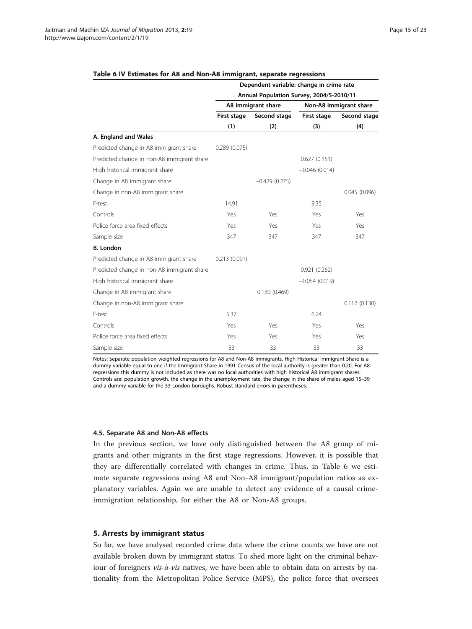|                                            | Dependent variable: change in crime rate<br>Annual Population Survey, 2004/5-2010/11 |                    |                        |              |  |
|--------------------------------------------|--------------------------------------------------------------------------------------|--------------------|------------------------|--------------|--|
|                                            |                                                                                      |                    |                        |              |  |
|                                            |                                                                                      | A8 immigrant share | Non-A8 immigrant share |              |  |
|                                            | <b>First stage</b>                                                                   | Second stage       | First stage            | Second stage |  |
|                                            | (1)                                                                                  | (2)                | (3)                    | (4)          |  |
| A. England and Wales                       |                                                                                      |                    |                        |              |  |
| Predicted change in A8 immigrant share     | 0.289(0.075)                                                                         |                    |                        |              |  |
| Predicted change in non-A8 immigrant share |                                                                                      |                    | 0.627(0.151)           |              |  |
| High historical immigrant share            |                                                                                      |                    | $-0.046(0.014)$        |              |  |
| Change in A8 immigrant share               |                                                                                      | $-0.429(0.275)$    |                        |              |  |
| Change in non-A8 immigrant share           |                                                                                      |                    |                        | 0.045(0.096) |  |
| F-test                                     | 14.91                                                                                |                    | 9.35                   |              |  |
| Controls                                   | Yes                                                                                  | Yes                | Yes                    | Yes          |  |
| Police force area fixed effects            | Yes                                                                                  | Yes                | Yes                    | Yes          |  |
| Sample size                                | 347                                                                                  | 347                | 347                    | 347          |  |
| <b>B.</b> London                           |                                                                                      |                    |                        |              |  |
| Predicted change in A8 immigrant share     | 0.213(0.091)                                                                         |                    |                        |              |  |
| Predicted change in non-A8 immigrant share |                                                                                      |                    | 0.921(0.262)           |              |  |
| High historical immigrant share            |                                                                                      |                    | $-0.054(0.019)$        |              |  |
| Change in A8 immigrant share               |                                                                                      | 0.130(0.469)       |                        |              |  |
| Change in non-A8 immigrant share           |                                                                                      |                    |                        | 0.117(0.130) |  |
| F-test                                     | 5.37                                                                                 |                    | 6.24                   |              |  |
| Controls                                   | Yes                                                                                  | Yes                | Yes                    | Yes          |  |
| Police force area fixed effects            | Yes                                                                                  | Yes                | Yes                    | Yes          |  |
| Sample size                                | 33                                                                                   | 33                 | 33                     | 33           |  |

<span id="page-14-0"></span>

|  |  |  |  |  | Table 6 IV Estimates for A8 and Non-A8 immigrant, separate regressions |  |  |
|--|--|--|--|--|------------------------------------------------------------------------|--|--|
|--|--|--|--|--|------------------------------------------------------------------------|--|--|

Notes: Separate population weighted regressions for A8 and Non-A8 immigrants. High Historical Immigrant Share is a dummy variable equal to one if the Immigrant Share in 1991 Census of the local authority is greater than 0.20. For A8 regressions this dummy is not included as there was no local authorities with high historical A8 immigrant shares. Controls are: population growth, the change in the unemployment rate, the change in the share of males aged 15–39 and a dummy variable for the 33 London boroughs. Robust standard errors in parentheses.

#### 4.5. Separate A8 and Non-A8 effects

In the previous section, we have only distinguished between the A8 group of migrants and other migrants in the first stage regressions. However, it is possible that they are differentially correlated with changes in crime. Thus, in Table 6 we estimate separate regressions using A8 and Non-A8 immigrant/population ratios as explanatory variables. Again we are unable to detect any evidence of a causal crimeimmigration relationship, for either the A8 or Non-A8 groups.

#### 5. Arrests by immigrant status

So far, we have analysed recorded crime data where the crime counts we have are not available broken down by immigrant status. To shed more light on the criminal behaviour of foreigners  $vis-\dot{a}-vis$  natives, we have been able to obtain data on arrests by nationality from the Metropolitan Police Service (MPS), the police force that oversees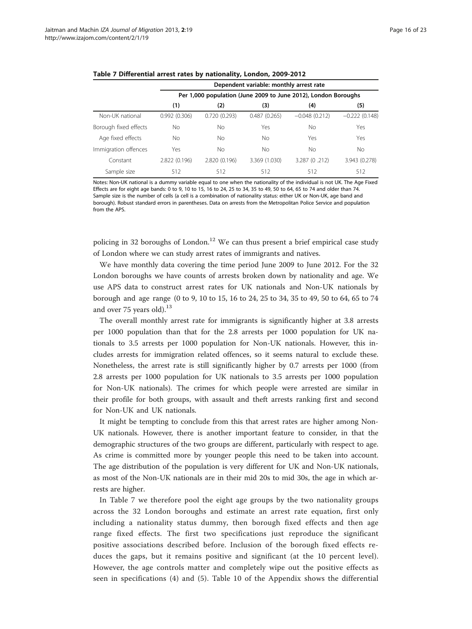|                       |               | Dependent variable: monthly arrest rate                        |               |                 |                 |  |  |  |  |
|-----------------------|---------------|----------------------------------------------------------------|---------------|-----------------|-----------------|--|--|--|--|
|                       |               | Per 1,000 population (June 2009 to June 2012), London Boroughs |               |                 |                 |  |  |  |  |
|                       | (1)           | (2)                                                            | (3)           | (4)             | (5)             |  |  |  |  |
| Non-UK national       | 0.992(0.306)  | 0.720(0.293)                                                   | 0.487(0.265)  | $-0.048(0.212)$ | $-0.222(0.148)$ |  |  |  |  |
| Borough fixed effects | <b>No</b>     | No                                                             | Yes           | No              | Yes             |  |  |  |  |
| Age fixed effects     | <b>No</b>     | <b>No</b>                                                      | No            | Yes             | Yes             |  |  |  |  |
| Immigration offences  | Yes           | Nο                                                             | No            | No              | <b>No</b>       |  |  |  |  |
| Constant              | 2.822 (0.196) | 2.820 (0.196)                                                  | 3.369 (1.030) | 3.287 (0.212)   | 3.943 (0.278)   |  |  |  |  |
| Sample size           | 512           | 512                                                            | 512           | 512             | 512             |  |  |  |  |

<span id="page-15-0"></span>

|  | Table 7 Differential arrest rates by nationality, London, 2009-2012 |
|--|---------------------------------------------------------------------|

Notes: Non-UK national is a dummy variable equal to one when the nationality of the individual is not UK. The Age Fixed Effects are for eight age bands: 0 to 9, 10 to 15, 16 to 24, 25 to 34, 35 to 49, 50 to 64, 65 to 74 and older than 74. Sample size is the number of cells (a cell is a combination of nationality status: either UK or Non-UK, age band and borough). Robust standard errors in parentheses. Data on arrests from the Metropolitan Police Service and population from the APS.

policing in 32 boroughs of London.<sup>12</sup> We can thus present a brief empirical case study of London where we can study arrest rates of immigrants and natives.

We have monthly data covering the time period June 2009 to June 2012. For the 32 London boroughs we have counts of arrests broken down by nationality and age. We use APS data to construct arrest rates for UK nationals and Non-UK nationals by borough and age range (0 to 9, 10 to 15, 16 to 24, 25 to 34, 35 to 49, 50 to 64, 65 to 74 and over 75 years old). $^{13}$ 

The overall monthly arrest rate for immigrants is significantly higher at 3.8 arrests per 1000 population than that for the 2.8 arrests per 1000 population for UK nationals to 3.5 arrests per 1000 population for Non-UK nationals. However, this includes arrests for immigration related offences, so it seems natural to exclude these. Nonetheless, the arrest rate is still significantly higher by 0.7 arrests per 1000 (from 2.8 arrests per 1000 population for UK nationals to 3.5 arrests per 1000 population for Non-UK nationals). The crimes for which people were arrested are similar in their profile for both groups, with assault and theft arrests ranking first and second for Non-UK and UK nationals.

It might be tempting to conclude from this that arrest rates are higher among Non-UK nationals. However, there is another important feature to consider, in that the demographic structures of the two groups are different, particularly with respect to age. As crime is committed more by younger people this need to be taken into account. The age distribution of the population is very different for UK and Non-UK nationals, as most of the Non-UK nationals are in their mid 20s to mid 30s, the age in which arrests are higher.

In Table 7 we therefore pool the eight age groups by the two nationality groups across the 32 London boroughs and estimate an arrest rate equation, first only including a nationality status dummy, then borough fixed effects and then age range fixed effects. The first two specifications just reproduce the significant positive associations described before. Inclusion of the borough fixed effects reduces the gaps, but it remains positive and significant (at the 10 percent level). However, the age controls matter and completely wipe out the positive effects as seen in specifications (4) and (5). Table 10 of the Appendix shows the differential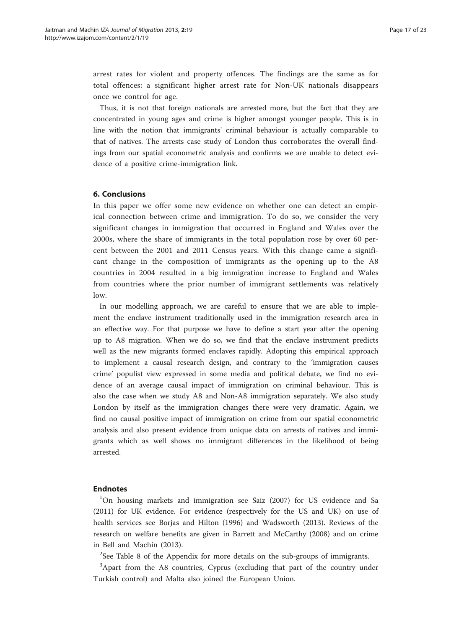<span id="page-16-0"></span>arrest rates for violent and property offences. The findings are the same as for total offences: a significant higher arrest rate for Non-UK nationals disappears once we control for age.

Thus, it is not that foreign nationals are arrested more, but the fact that they are concentrated in young ages and crime is higher amongst younger people. This is in line with the notion that immigrants' criminal behaviour is actually comparable to that of natives. The arrests case study of London thus corroborates the overall findings from our spatial econometric analysis and confirms we are unable to detect evidence of a positive crime-immigration link.

## 6. Conclusions

In this paper we offer some new evidence on whether one can detect an empirical connection between crime and immigration. To do so, we consider the very significant changes in immigration that occurred in England and Wales over the 2000s, where the share of immigrants in the total population rose by over 60 percent between the 2001 and 2011 Census years. With this change came a significant change in the composition of immigrants as the opening up to the A8 countries in 2004 resulted in a big immigration increase to England and Wales from countries where the prior number of immigrant settlements was relatively low.

In our modelling approach, we are careful to ensure that we are able to implement the enclave instrument traditionally used in the immigration research area in an effective way. For that purpose we have to define a start year after the opening up to A8 migration. When we do so, we find that the enclave instrument predicts well as the new migrants formed enclaves rapidly. Adopting this empirical approach to implement a causal research design, and contrary to the 'immigration causes crime' populist view expressed in some media and political debate, we find no evidence of an average causal impact of immigration on criminal behaviour. This is also the case when we study A8 and Non-A8 immigration separately. We also study London by itself as the immigration changes there were very dramatic. Again, we find no causal positive impact of immigration on crime from our spatial econometric analysis and also present evidence from unique data on arrests of natives and immigrants which as well shows no immigrant differences in the likelihood of being arrested.

#### Endnotes

<sup>1</sup>On housing markets and immigration see Saiz ([2007](#page-22-0)) for US evidence and Sa ([2011](#page-22-0)) for UK evidence. For evidence (respectively for the US and UK) on use of health services see Borjas and Hilton ([1996\)](#page-22-0) and Wadsworth ([2013](#page-22-0)). Reviews of the research on welfare benefits are given in Barrett and McCarthy ([2008](#page-22-0)) and on crime in Bell and Machin [\(2013\)](#page-22-0).

 $2$ See Table 8 of the Appendix for more details on the sub-groups of immigrants.

<sup>3</sup>Apart from the A8 countries, Cyprus (excluding that part of the country under Turkish control) and Malta also joined the European Union.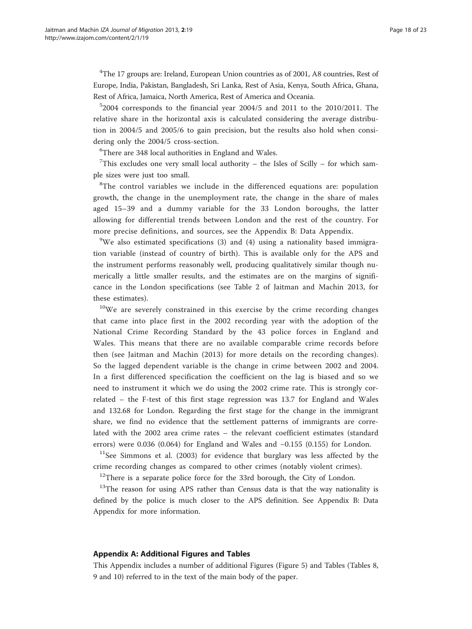<sup>4</sup>The 17 groups are: Ireland, European Union countries as of 2001, A8 countries, Rest of Europe, India, Pakistan, Bangladesh, Sri Lanka, Rest of Asia, Kenya, South Africa, Ghana, Rest of Africa, Jamaica, North America, Rest of America and Oceania.

5 2004 corresponds to the financial year 2004/5 and 2011 to the 2010/2011. The relative share in the horizontal axis is calculated considering the average distribution in 2004/5 and 2005/6 to gain precision, but the results also hold when considering only the 2004/5 cross-section.

6 There are 348 local authorities in England and Wales.

<sup>7</sup>This excludes one very small local authority – the Isles of Scilly – for which sample sizes were just too small.

<sup>8</sup>The control variables we include in the differenced equations are: population growth, the change in the unemployment rate, the change in the share of males aged 15–39 and a dummy variable for the 33 London boroughs, the latter allowing for differential trends between London and the rest of the country. For more precise definitions, and sources, see the Appendix B: Data Appendix.

<sup>9</sup>We also estimated specifications (3) and (4) using a nationality based immigration variable (instead of country of birth). This is available only for the APS and the instrument performs reasonably well, producing qualitatively similar though numerically a little smaller results, and the estimates are on the margins of significance in the London specifications (see Table [2](#page-8-0) of Jaitman and Machin [2013,](#page-22-0) for these estimates).

<sup>10</sup>We are severely constrained in this exercise by the crime recording changes that came into place first in the 2002 recording year with the adoption of the National Crime Recording Standard by the 43 police forces in England and Wales. This means that there are no available comparable crime records before then (see Jaitman and Machin ([2013](#page-22-0)) for more details on the recording changes). So the lagged dependent variable is the change in crime between 2002 and 2004. In a first differenced specification the coefficient on the lag is biased and so we need to instrument it which we do using the 2002 crime rate. This is strongly correlated – the F-test of this first stage regression was 13.7 for England and Wales and 132.68 for London. Regarding the first stage for the change in the immigrant share, we find no evidence that the settlement patterns of immigrants are correlated with the 2002 area crime rates – the relevant coefficient estimates (standard errors) were 0.036 (0.064) for England and Wales and −0.155 (0.155) for London.

<sup>11</sup>See Simmons et al. ([2003\)](#page-22-0) for evidence that burglary was less affected by the crime recording changes as compared to other crimes (notably violent crimes).

 $12$ There is a separate police force for the 33rd borough, the City of London.

 $13$ The reason for using APS rather than Census data is that the way nationality is defined by the police is much closer to the APS definition. See Appendix B: Data Appendix for more information.

#### Appendix A: Additional Figures and Tables

This Appendix includes a number of additional Figures (Figure 5) and Tables (Tables 8, 9 and 10) referred to in the text of the main body of the paper.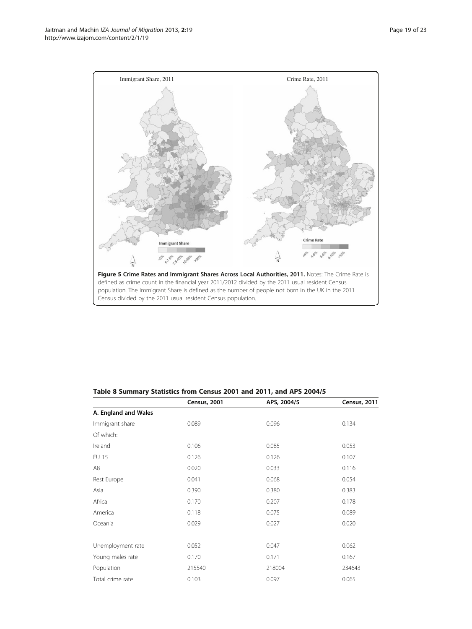

|                      | <b>Census, 2001</b> | APS, 2004/5 | Census, 2011 |
|----------------------|---------------------|-------------|--------------|
| A. England and Wales |                     |             |              |
| Immigrant share      | 0.089               | 0.096       | 0.134        |
| Of which:            |                     |             |              |
| Ireland              | 0.106               | 0.085       | 0.053        |
| <b>EU 15</b>         | 0.126               | 0.126       | 0.107        |
| A8                   | 0.020               | 0.033       | 0.116        |
| Rest Europe          | 0.041               | 0.068       | 0.054        |
| Asia                 | 0.390               | 0.380       | 0.383        |
| Africa               | 0.170               | 0.207       | 0.178        |
| America              | 0.118               | 0.075       | 0.089        |
| Oceania              | 0.029               | 0.027       | 0.020        |
|                      |                     |             |              |
| Unemployment rate    | 0.052               | 0.047       | 0.062        |
| Young males rate     | 0.170               | 0.171       | 0.167        |
| Population           | 215540              | 218004      | 234643       |
| Total crime rate     | 0.103               | 0.097       | 0.065        |

## Table 8 Summary Statistics from Census 2001 and 2011, and APS 2004/5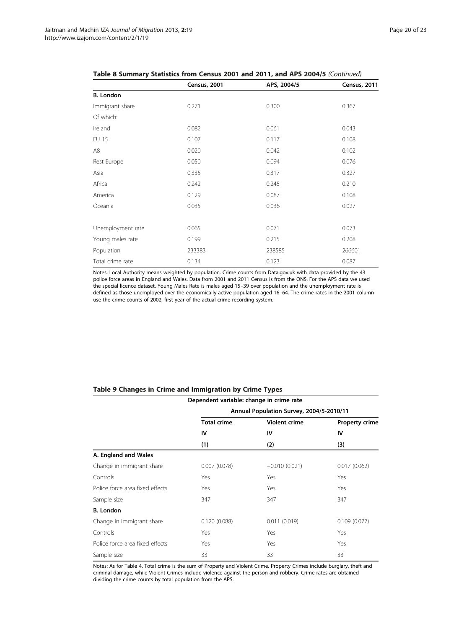|                   | <b>Census, 2001</b> | APS, 2004/5 | Census, 2011 |
|-------------------|---------------------|-------------|--------------|
| <b>B.</b> London  |                     |             |              |
| Immigrant share   | 0.271               | 0.300       | 0.367        |
| Of which:         |                     |             |              |
| Ireland           | 0.082               | 0.061       | 0.043        |
| EU 15             | 0.107               | 0.117       | 0.108        |
| A8                | 0.020               | 0.042       | 0.102        |
| Rest Europe       | 0.050               | 0.094       | 0.076        |
| Asia              | 0.335               | 0.317       | 0.327        |
| Africa            | 0.242               | 0.245       | 0.210        |
| America           | 0.129               | 0.087       | 0.108        |
| Oceania           | 0.035               | 0.036       | 0.027        |
|                   |                     |             |              |
| Unemployment rate | 0.065               | 0.071       | 0.073        |
| Young males rate  | 0.199               | 0.215       | 0.208        |
| Population        | 233383              | 238585      | 266601       |
| Total crime rate  | 0.134               | 0.123       | 0.087        |

#### Table 8 Summary Statistics from Census 2001 and 2011, and APS 2004/5 (Continued)

Notes: Local Authority means weighted by population. Crime counts from Data.gov.uk with data provided by the 43 police force areas in England and Wales. Data from 2001 and 2011 Census is from the ONS. For the APS data we used the special licence dataset. Young Males Rate is males aged 15–39 over population and the unemployment rate is defined as those unemployed over the economically active population aged 16–64. The crime rates in the 2001 column use the crime counts of 2002, first year of the actual crime recording system.

#### Table 9 Changes in Crime and Immigration by Crime Types

|                                 | Dependent variable: change in crime rate |                      |                |  |  |  |  |
|---------------------------------|------------------------------------------|----------------------|----------------|--|--|--|--|
|                                 | Annual Population Survey, 2004/5-2010/11 |                      |                |  |  |  |  |
|                                 | <b>Total crime</b>                       | <b>Violent crime</b> | Property crime |  |  |  |  |
|                                 | IV                                       | IV                   | IV             |  |  |  |  |
|                                 | (1)                                      | (2)                  | (3)            |  |  |  |  |
| A. England and Wales            |                                          |                      |                |  |  |  |  |
| Change in immigrant share       | 0.007(0.078)                             | $-0.010(0.021)$      | 0.017(0.062)   |  |  |  |  |
| Controls                        | Yes                                      | Yes                  | Yes            |  |  |  |  |
| Police force area fixed effects | Yes                                      | Yes                  | Yes            |  |  |  |  |
| Sample size                     | 347                                      | 347                  | 347            |  |  |  |  |
| <b>B.</b> London                |                                          |                      |                |  |  |  |  |
| Change in immigrant share       | 0.120(0.088)                             | 0.011(0.019)         | 0.109(0.077)   |  |  |  |  |
| Controls                        | Yes                                      | Yes                  | Yes            |  |  |  |  |
| Police force area fixed effects | Yes                                      | Yes                  | Yes            |  |  |  |  |
| Sample size                     | 33                                       | 33                   | 33             |  |  |  |  |

Notes: As for Table [4.](#page-11-0) Total crime is the sum of Property and Violent Crime. Property Crimes include burglary, theft and criminal damage, while Violent Crimes include violence against the person and robbery. Crime rates are obtained dividing the crime counts by total population from the APS.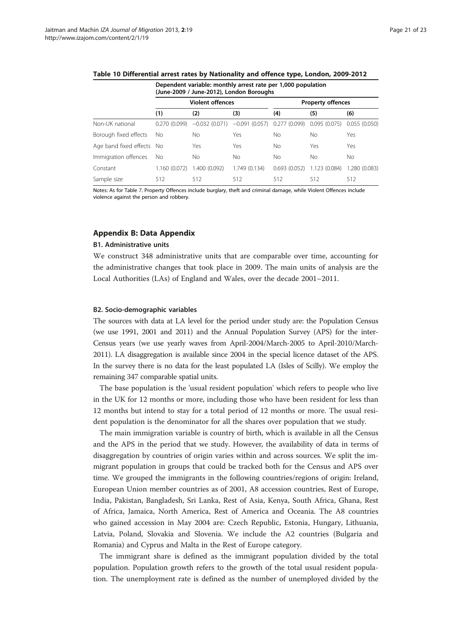<span id="page-20-0"></span>Table 10 Differential arrest rates by Nationality and offence type, London, 2009-2012

|                           | Dependent variable: monthly arrest rate per 1,000 population<br>(June-2009 / June-2012), London Boroughs |                 |                               |                          |               |               |
|---------------------------|----------------------------------------------------------------------------------------------------------|-----------------|-------------------------------|--------------------------|---------------|---------------|
|                           | <b>Violent offences</b>                                                                                  |                 |                               | <b>Property offences</b> |               |               |
|                           | (1)                                                                                                      | (2)             | (3)                           | (4)                      | (5)           | (6)           |
| Non-UK national           | 0.270(0.099)                                                                                             | $-0.032(0.071)$ | $-0.091(0.057)$ 0.277 (0.099) |                          | 0.095(0.075)  | 0.055(0.050)  |
| Borough fixed effects     | No.                                                                                                      | No              | Yes                           | No                       | Νo            | Yes           |
| Age band fixed effects No |                                                                                                          | Yes             | Yes                           | Nο                       | Yes           | Yes           |
| Immigration offences      | No.                                                                                                      | Nο              | No                            | Nο                       | No            | No            |
| Constant                  | 1.160 (0.072)                                                                                            | 1.400 (0.092)   | 1.749 (0.134)                 | 0.693(0.052)             | 1.123 (0.084) | 1.280 (0.083) |
| Sample size               | 512                                                                                                      | 512             | 512                           | 512                      | 512           | 512           |

Notes: As for Table [7.](#page-15-0) Property Offences include burglary, theft and criminal damage, while Violent Offences include violence against the person and robbery.

#### Appendix B: Data Appendix

#### B1. Administrative units

We construct 348 administrative units that are comparable over time, accounting for the administrative changes that took place in 2009. The main units of analysis are the Local Authorities (LAs) of England and Wales, over the decade 2001–2011.

#### B2. Socio-demographic variables

The sources with data at LA level for the period under study are: the Population Census (we use 1991, 2001 and 2011) and the Annual Population Survey (APS) for the inter-Census years (we use yearly waves from April-2004/March-2005 to April-2010/March-2011). LA disaggregation is available since 2004 in the special licence dataset of the APS. In the survey there is no data for the least populated LA (Isles of Scilly). We employ the remaining 347 comparable spatial units.

The base population is the 'usual resident population' which refers to people who live in the UK for 12 months or more, including those who have been resident for less than 12 months but intend to stay for a total period of 12 months or more. The usual resident population is the denominator for all the shares over population that we study.

The main immigration variable is country of birth, which is available in all the Census and the APS in the period that we study. However, the availability of data in terms of disaggregation by countries of origin varies within and across sources. We split the immigrant population in groups that could be tracked both for the Census and APS over time. We grouped the immigrants in the following countries/regions of origin: Ireland, European Union member countries as of 2001, A8 accession countries, Rest of Europe, India, Pakistan, Bangladesh, Sri Lanka, Rest of Asia, Kenya, South Africa, Ghana, Rest of Africa, Jamaica, North America, Rest of America and Oceania. The A8 countries who gained accession in May 2004 are: Czech Republic, Estonia, Hungary, Lithuania, Latvia, Poland, Slovakia and Slovenia. We include the A2 countries (Bulgaria and Romania) and Cyprus and Malta in the Rest of Europe category.

The immigrant share is defined as the immigrant population divided by the total population. Population growth refers to the growth of the total usual resident population. The unemployment rate is defined as the number of unemployed divided by the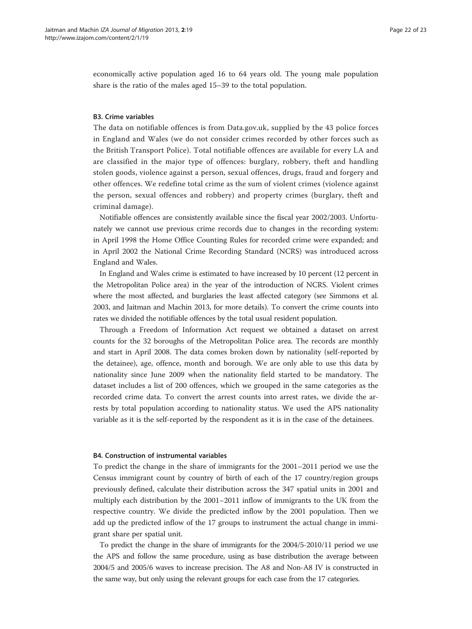economically active population aged 16 to 64 years old. The young male population share is the ratio of the males aged 15–39 to the total population.

#### B3. Crime variables

The data on notifiable offences is from Data.gov.uk, supplied by the 43 police forces in England and Wales (we do not consider crimes recorded by other forces such as the British Transport Police). Total notifiable offences are available for every LA and are classified in the major type of offences: burglary, robbery, theft and handling stolen goods, violence against a person, sexual offences, drugs, fraud and forgery and other offences. We redefine total crime as the sum of violent crimes (violence against the person, sexual offences and robbery) and property crimes (burglary, theft and criminal damage).

Notifiable offences are consistently available since the fiscal year 2002/2003. Unfortunately we cannot use previous crime records due to changes in the recording system: in April 1998 the Home Office Counting Rules for recorded crime were expanded; and in April 2002 the National Crime Recording Standard (NCRS) was introduced across England and Wales.

In England and Wales crime is estimated to have increased by 10 percent (12 percent in the Metropolitan Police area) in the year of the introduction of NCRS. Violent crimes where the most affected, and burglaries the least affected category (see Simmons et al. [2003,](#page-22-0) and Jaitman and Machin [2013,](#page-22-0) for more details). To convert the crime counts into rates we divided the notifiable offences by the total usual resident population.

Through a Freedom of Information Act request we obtained a dataset on arrest counts for the 32 boroughs of the Metropolitan Police area. The records are monthly and start in April 2008. The data comes broken down by nationality (self-reported by the detainee), age, offence, month and borough. We are only able to use this data by nationality since June 2009 when the nationality field started to be mandatory. The dataset includes a list of 200 offences, which we grouped in the same categories as the recorded crime data. To convert the arrest counts into arrest rates, we divide the arrests by total population according to nationality status. We used the APS nationality variable as it is the self-reported by the respondent as it is in the case of the detainees.

#### B4. Construction of instrumental variables

To predict the change in the share of immigrants for the 2001–2011 period we use the Census immigrant count by country of birth of each of the 17 country/region groups previously defined, calculate their distribution across the 347 spatial units in 2001 and multiply each distribution by the 2001–2011 inflow of immigrants to the UK from the respective country. We divide the predicted inflow by the 2001 population. Then we add up the predicted inflow of the 17 groups to instrument the actual change in immigrant share per spatial unit.

To predict the change in the share of immigrants for the 2004/5-2010/11 period we use the APS and follow the same procedure, using as base distribution the average between 2004/5 and 2005/6 waves to increase precision. The A8 and Non-A8 IV is constructed in the same way, but only using the relevant groups for each case from the 17 categories.